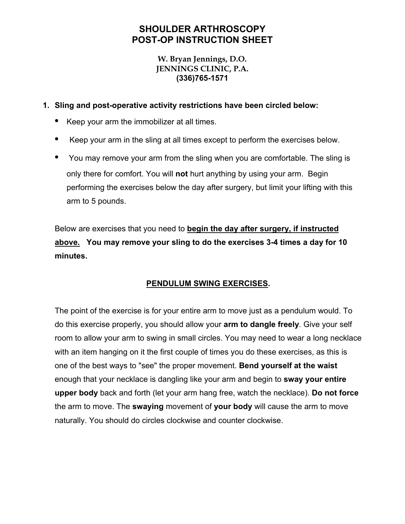## **SHOULDER ARTHROSCOPY POST-OP INSTRUCTION SHEET**

**W. Bryan Jennings, D.O. JENNINGS CLINIC, P.A. (336)765-1571** 

## **1. Sling and post-operative activity restrictions have been circled below:**

- **•** Keep your arm the immobilizer at all times.
- **•** Keep your arm in the sling at all times except to perform the exercises below.
- **•** You may remove your arm from the sling when you are comfortable. The sling is only there for comfort. You will **not** hurt anything by using your arm. Begin performing the exercises below the day after surgery, but limit your lifting with this arm to 5 pounds.

Below are exercises that you need to **begin the day after surgery, if instructed above. You may remove your sling to do the exercises 3-4 times a day for 10 minutes.** 

## **PENDULUM SWING EXERCISES.**

The point of the exercise is for your entire arm to move just as a pendulum would. To do this exercise properly, you should allow your **arm to dangle freely**. Give your self room to allow your arm to swing in small circles. You may need to wear a long necklace with an item hanging on it the first couple of times you do these exercises, as this is one of the best ways to "see" the proper movement. **Bend yourself at the waist**  enough that your necklace is dangling like your arm and begin to **sway your entire upper body** back and forth (let your arm hang free, watch the necklace). **Do not force** the arm to move. The **swaying** movement of **your body** will cause the arm to move naturally. You should do circles clockwise and counter clockwise.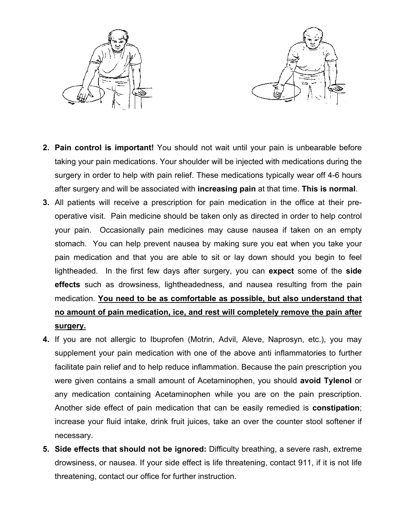



- **2. Pain control is important!** You should not wait until your pain is unbearable before taking your pain medications. Your shoulder will be injected with medications during the surgery in order to help with pain relief. These medications typically wear off 4-6 hours after surgery and will be associated with **increasing pain** at that time. **This is normal**.
- **3.** All patients will receive a prescription for pain medication in the office at their preoperative visit. Pain medicine should be taken only as directed in order to help control your pain. Occasionally pain medicines may cause nausea if taken on an empty stomach. You can help prevent nausea by making sure you eat when you take your pain medication and that you are able to sit or lay down should you begin to feel lightheaded. In the first few days after surgery, you can **expect** some of the **side effects** such as drowsiness, lightheadedness, and nausea resulting from the pain medication. **You need to be as comfortable as possible, but also understand that no amount of pain medication, ice, and rest will completely remove the pain after surgery.**
- **4.** If you are not allergic to Ibuprofen (Motrin, Advil, Aleve, Naprosyn, etc.), you may supplement your pain medication with one of the above anti inflammatories to further facilitate pain relief and to help reduce inflammation. Because the pain prescription you were given contains a small amount of Acetaminophen, you should **avoid Tylenol** or any medication containing Acetaminophen while you are on the pain prescription. Another side effect of pain medication that can be easily remedied is **constipation**; increase your fluid intake, drink fruit juices, take an over the counter stool softener if necessary.
- **5. Side effects that should not be ignored:** Difficulty breathing, a severe rash, extreme drowsiness, or nausea. If your side effect is life threatening, contact 911, if it is not life threatening, contact our office for further instruction.